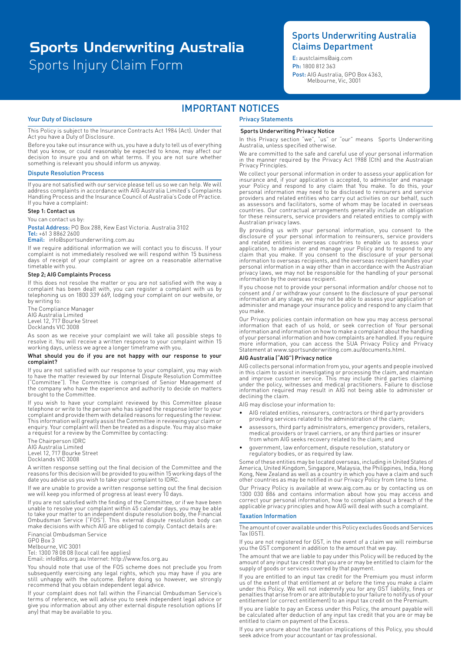# Sports Injury Claim Form Sports Underwriting Australia

## Sports Underwriting Australia Claims Department

**E**: austclaims@aig.com Tel: 1300 363 413 | Fax: +61 2 9524 9003 Post: AIG Australia, GPO Box 4363, Melbourne, Vic, 3001 Ph: 1800 812 363

## IMPORTANT NOTICES

### Your Duty of Disclosure

This Policy is subject to the Insurance Contracts Act 1984 (Act). Under that Act you have a Duty of Disclosure.

Before you take out insurance with us, you have a duty to tell us of everything that you know, or could reasonably be expected to know, may affect our decision to insure you and on what terms. If you are not sure whether something is relevant you should inform us anyway.

### Dispute Resolution Process

If you are not satisfied with our service please tell us so we can help. We will address complaints in accordance with AIG Australia Limited's Complaints Handling Process and the Insurance Council of Australia's Code of Practice. If you have a complaint:

### Step 1: Contact us

You can contact us by:

Postal Address: PO Box 288, Kew East Victoria. Australia 3102 Tel: +61 3 8862 2600

#### Email: info@sportsunderwriting.com.au

If we require additional information we will contact you to discuss. If your complaint is not immediately resolved we will respond within 15 business days of receipt of your complaint or agree on a reasonable alternative timetable with you.

#### Step 2; AIG Complaints Process

If this does not resolve the matter or you are not satisfied with the way a complaint has been dealt with, you can register a complaint with us by telephoning us on 1800 339 669, lodging your complaint on our website, or by writing to:

The Compliance Manager AIG Australia Limited Level 12, 717 Bourke Street Docklands VIC 3008

As soon as we receive your complaint we will take all possible steps to resolve it. You will receive a written response to your complaint within 15 working days, unless we agree a longer timeframe with you.

#### What should you do if you are not happy with our response to your complaint?

If you are not satisfied with our response to your complaint, you may wish to have the matter reviewed by our Internal Dispute Resolution Committee ("Committee"). The Committee is comprised of Senior Management of the company who have the experience and authority to decide on matters brought to the Committee.

If you wish to have your complaint reviewed by this Committee please telephone or write to the person who has signed the response letter to your complaint and provide them with detailed reasons for requesting the review. This information will greatly assist the Committee in reviewing your claim or enquiry. Your complaint will then be treated as a dispute. You may also make a request for a review by the Committee by contacting:

The Chairperson IDRC AIG Australia Limited Level 12, 717 Bourke Street Docklands VIC 3008

A written response setting out the final decision of the Committee and the reasons for this decision will be provided to you within 15 working days of the date you advise us you wish to take your complaint to IDRC.

If we are unable to provide a written response setting out the final decision we will keep you informed of progress at least every 10 days.

If you are not satisfied with the finding of the Committee, or if we have been unable to resolve your complaint within 45 calendar days, you may be able to take your matter to an independent dispute resolution body, the Financial Ombudsman Service ("FOS"). This external dispute resolution body can make decisions with which AIG are obliged to comply. Contact details are:

Financial Ombudsman Service GPO Box 3 Melbourne, VIC 3001

Tel: 1300 78 08 08 (local call fee applies) Email: info@fos.org.au Internet: http://www.fos.org.au

You should note that use of the FOS scheme does not preclude you from subsequently exercising any legal rights, which you may have if you are still unhappy with the outcome. Before doing so however, we strongly recommend that you obtain independent legal advice.

If your complaint does not fall within the Financial Ombudsman Service's terms of reference, we will advise you to seek independent legal advice or give you information about any other external dispute resolution options (if any) that may be available to you.

## Privacy Statements

### Sports Underwriting Privacy Notice

In this Privacy section "we", "us" or "our" means Sports Underwriting Australia, unless specified otherwise.

We are committed to the safe and careful use of your personal information in the manner required by the Privacy Act 1988 (Cth) and the Australian Privacy Principles.

We collect your personal information in order to assess your application for insurance and, if your application is accepted, to administer and manage<br>your Policy and respond to any claim that You make. To do this, your<br>personal information may need to be disclosed to reinsurers and service<br>provider as assessors and facilitators, some of whom may be located in overseas countries. Our contractual arrangements generally include an obligation for these reinsurers, service providers and related entities to comply with Australian privacy laws.

By providing us with your personal information, you consent to the disclosure of your personal information to reinsurers, service providers and related entities in overseas countries to enable us to assess your application, to administer and manage your Policy and to respond to any claim that you make. If you consent to the disclosure of your personal information to overseas recipients, and the overseas recipient handles your personal information in a way other than in accordance with the Australian privacy laws, we may not be responsible for the handling of your personal information by the overseas recipient.

If you choose not to provide your personal information and/or choose not to consent and / or withdraw your consent to the disclosure of your personal information at any stage, we may not be able to assess your application or administer and manage your insurance policy and respond to any claim that you make.

Our Privacy policies contain information on how you may access personal information that each of us hold, or seek correction of Your personal information and information on how to make a complaint about the handling of your personal information and how complaints are handled. If you require more information, you can access the SUA Privacy Policy and Privacy Statement at www.sportsunderwriting.com.au/documents.html.

#### AIG Australia ("AIG") Privacy notice

AIG collects personal information from you, your agents and people involved in this claim to assist in investigating or processing the claim, and maintain and improve customer service. This may include third parties claiming under the policy, witnesses and medical practitioners. Failure to disclose information required may result in AIG not being able to administer or declining the claim.

AIG may disclose your information to:

- AIG related entities, reinsurers, contractors or third party providers providing services related to the administration of the claim;
- assessors, third party administrators, emergency providers, retailers, medical providers or travel carriers, or any third parties or insurer from whom AIG seeks recovery related to the claim; and
- government, law enforcement, dispute resolution, statutory or regulatory bodies, or as required by law.

Some of these entities may be located overseas, including in United States of America, United Kingdom, Singapore, Malaysia, the Philippines, India, Hong Kong, New Zealand as well as a country in which you have a claim and such other countries as may be notified in our Privacy Policy from time to time.

Our Privacy Policy is available at www.aig.com.au or by contacting us on 1300 030 886 and contains information about how you may access and correct your personal information, how to complain about a breach of the applicable privacy principles and how AIG will deal with such a complaint.

#### Taxation Information

The amount of cover available under this Policy excludes Goods and Services Tax (GST).

If you are not registered for GST, in the event of a claim we will reimburse you the GST component in addition to the amount that we pay.

The amount that we are liable to pay under this Policy will be reduced by the amount of any input tax credit that you are or may be entitled to claim for the supply of goods or services covered by that payment.

If you are entitled to an input tax credit for the Premium you must inform<br>us of the extent of that entitlement at or before the time you make a claim<br>under this Policy. We will not indemnify you for any GST liability, fin penalties that arise from or are attributable to your failure to notify us of your entitlement (or correct entitlement) to an input tax credit on the Premium.

If you are liable to pay an Excess under this Policy, the amount payable will be calculated after deduction of any input tax credit that you are or may be entitled to claim on payment of the Excess.

If you are unsure about the taxation implications of this Policy, you should seek advice from your accountant or tax professional.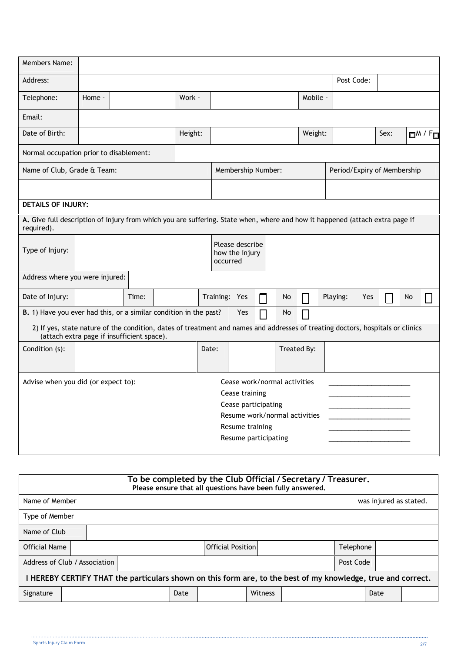| Members Name:                                                                                                                                                                |        |       |  |         |                                                                                  |                                                               |     |                             |                          |            |     |      |    |                      |
|------------------------------------------------------------------------------------------------------------------------------------------------------------------------------|--------|-------|--|---------|----------------------------------------------------------------------------------|---------------------------------------------------------------|-----|-----------------------------|--------------------------|------------|-----|------|----|----------------------|
| Address:                                                                                                                                                                     |        |       |  |         |                                                                                  |                                                               |     |                             |                          | Post Code: |     |      |    |                      |
| Telephone:                                                                                                                                                                   | Home - |       |  | Work -  |                                                                                  |                                                               |     |                             | Mobile -                 |            |     |      |    |                      |
| Email:                                                                                                                                                                       |        |       |  |         |                                                                                  |                                                               |     |                             |                          |            |     |      |    |                      |
| Date of Birth:                                                                                                                                                               |        |       |  | Height: |                                                                                  |                                                               |     |                             | Weight:                  |            |     | Sex: |    | O <sup>M / F</sup> o |
| Normal occupation prior to disablement:                                                                                                                                      |        |       |  |         |                                                                                  |                                                               |     |                             |                          |            |     |      |    |                      |
| Name of Club, Grade & Team:                                                                                                                                                  |        |       |  |         | Membership Number:                                                               |                                                               |     | Period/Expiry of Membership |                          |            |     |      |    |                      |
|                                                                                                                                                                              |        |       |  |         |                                                                                  |                                                               |     |                             |                          |            |     |      |    |                      |
| <b>DETAILS OF INJURY:</b>                                                                                                                                                    |        |       |  |         |                                                                                  |                                                               |     |                             |                          |            |     |      |    |                      |
| A. Give full description of injury from which you are suffering. State when, where and how it happened (attach extra page if<br>required).                                   |        |       |  |         |                                                                                  |                                                               |     |                             |                          |            |     |      |    |                      |
| Type of Injury:                                                                                                                                                              |        |       |  |         | occurred                                                                         | Please describe<br>how the injury                             |     |                             |                          |            |     |      |    |                      |
| Address where you were injured:                                                                                                                                              |        |       |  |         |                                                                                  |                                                               |     |                             |                          |            |     |      |    |                      |
| Date of Injury:                                                                                                                                                              |        | Time: |  |         |                                                                                  | Training: Yes                                                 |     | No                          |                          | Playing:   | Yes |      | No |                      |
| B. 1) Have you ever had this, or a similar condition in the past?                                                                                                            |        |       |  |         |                                                                                  |                                                               | Yes | No                          | $\overline{\phantom{a}}$ |            |     |      |    |                      |
| 2) If yes, state nature of the condition, dates of treatment and names and addresses of treating doctors, hospitals or clinics<br>(attach extra page if insufficient space). |        |       |  |         |                                                                                  |                                                               |     |                             |                          |            |     |      |    |                      |
| Condition (s):                                                                                                                                                               |        |       |  |         | Date:                                                                            |                                                               |     |                             | Treated By:              |            |     |      |    |                      |
| Advise when you did (or expect to):                                                                                                                                          |        |       |  |         | Cease training<br>Cease participating<br>Resume training<br>Resume participating | Cease work/normal activities<br>Resume work/normal activities |     |                             |                          |            |     |      |    |                      |

| To be completed by the Club Official / Secretary / Treasurer.<br>Please ensure that all questions have been fully answered. |  |  |  |      |                          |         |  |           |                        |  |
|-----------------------------------------------------------------------------------------------------------------------------|--|--|--|------|--------------------------|---------|--|-----------|------------------------|--|
| Name of Member                                                                                                              |  |  |  |      |                          |         |  |           | was injured as stated. |  |
| Type of Member                                                                                                              |  |  |  |      |                          |         |  |           |                        |  |
| Name of Club                                                                                                                |  |  |  |      |                          |         |  |           |                        |  |
| Official Name                                                                                                               |  |  |  |      | <b>Official Position</b> |         |  | Telephone |                        |  |
| Address of Club / Association                                                                                               |  |  |  |      |                          |         |  | Post Code |                        |  |
| I HEREBY CERTIFY THAT the particulars shown on this form are, to the best of my knowledge, true and correct.                |  |  |  |      |                          |         |  |           |                        |  |
| Signature                                                                                                                   |  |  |  | Date |                          | Witness |  |           | Date                   |  |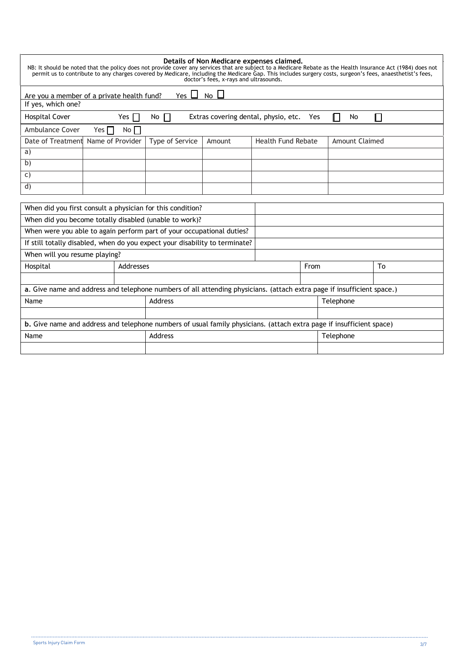| NB: It should be noted that the policy does not provide cover any services that are subject to a Medicare Rebate as the Health Insurance Act (1984) does not<br>permit us to contribute to any charges covered by Medicare, including the Medicare Gap. This includes surgery costs, surgeon's fees, anaesthetist's fees, |            |                 | Details of Non Medicare expenses claimed.<br>doctor's fees, x-rays and ultrasounds. |                           |           |                       |  |
|---------------------------------------------------------------------------------------------------------------------------------------------------------------------------------------------------------------------------------------------------------------------------------------------------------------------------|------------|-----------------|-------------------------------------------------------------------------------------|---------------------------|-----------|-----------------------|--|
| Are you a member of a private health fund?                                                                                                                                                                                                                                                                                |            | Yes $\Box$      | $No \Box$                                                                           |                           |           |                       |  |
| If yes, which one?                                                                                                                                                                                                                                                                                                        |            |                 |                                                                                     |                           |           |                       |  |
| Hospital Cover                                                                                                                                                                                                                                                                                                            | Yes $\Box$ | $No$ $\Box$     | Extras covering dental, physio, etc.                                                |                           | Yes       | No                    |  |
| <b>Ambulance Cover</b><br>Yes $\Box$                                                                                                                                                                                                                                                                                      | No         |                 |                                                                                     |                           |           |                       |  |
| Date of Treatment Name of Provider                                                                                                                                                                                                                                                                                        |            | Type of Service | Amount                                                                              | <b>Health Fund Rebate</b> |           | <b>Amount Claimed</b> |  |
| a)                                                                                                                                                                                                                                                                                                                        |            |                 |                                                                                     |                           |           |                       |  |
| b)                                                                                                                                                                                                                                                                                                                        |            |                 |                                                                                     |                           |           |                       |  |
| C)                                                                                                                                                                                                                                                                                                                        |            |                 |                                                                                     |                           |           |                       |  |
| d)                                                                                                                                                                                                                                                                                                                        |            |                 |                                                                                     |                           |           |                       |  |
|                                                                                                                                                                                                                                                                                                                           |            |                 |                                                                                     |                           |           |                       |  |
| When did you first consult a physician for this condition?                                                                                                                                                                                                                                                                |            |                 |                                                                                     |                           |           |                       |  |
| When did you become totally disabled (unable to work)?                                                                                                                                                                                                                                                                    |            |                 |                                                                                     |                           |           |                       |  |
| When were you able to again perform part of your occupational duties?                                                                                                                                                                                                                                                     |            |                 |                                                                                     |                           |           |                       |  |
| If still totally disabled, when do you expect your disability to terminate?                                                                                                                                                                                                                                               |            |                 |                                                                                     |                           |           |                       |  |
| When will you resume playing?                                                                                                                                                                                                                                                                                             |            |                 |                                                                                     |                           |           |                       |  |
| Hospital<br>Addresses                                                                                                                                                                                                                                                                                                     |            |                 |                                                                                     | From                      |           | To                    |  |
|                                                                                                                                                                                                                                                                                                                           |            |                 |                                                                                     |                           |           |                       |  |
| a. Give name and address and telephone numbers of all attending physicians. (attach extra page if insufficient space.)                                                                                                                                                                                                    |            |                 |                                                                                     |                           |           |                       |  |
| Name                                                                                                                                                                                                                                                                                                                      |            | Address         |                                                                                     |                           | Telephone |                       |  |
|                                                                                                                                                                                                                                                                                                                           |            |                 |                                                                                     |                           |           |                       |  |
| b. Give name and address and telephone numbers of usual family physicians. (attach extra page if insufficient space)                                                                                                                                                                                                      |            |                 |                                                                                     |                           |           |                       |  |
| Name                                                                                                                                                                                                                                                                                                                      |            | Address         |                                                                                     |                           |           | Telephone             |  |
|                                                                                                                                                                                                                                                                                                                           |            |                 |                                                                                     |                           |           |                       |  |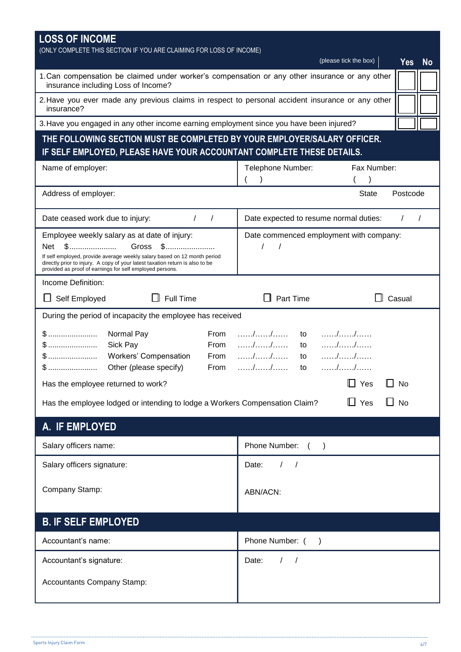| <b>LOSS OF INCOME</b><br>(ONLY COMPLETE THIS SECTION IF YOU ARE CLAIMING FOR LOSS OF INCOME)                                              |                                                           |
|-------------------------------------------------------------------------------------------------------------------------------------------|-----------------------------------------------------------|
|                                                                                                                                           | (please tick the box)<br><b>Yes</b><br><b>No</b>          |
| 1. Can compensation be claimed under worker's compensation or any other insurance or any other<br>insurance including Loss of Income?     |                                                           |
| 2. Have you ever made any previous claims in respect to personal accident insurance or any other<br>insurance?                            |                                                           |
| 3. Have you engaged in any other income earning employment since you have been injured?                                                   |                                                           |
| THE FOLLOWING SECTION MUST BE COMPLETED BY YOUR EMPLOYER/SALARY OFFICER.                                                                  |                                                           |
| IF SELF EMPLOYED, PLEASE HAVE YOUR ACCOUNTANT COMPLETE THESE DETAILS.                                                                     |                                                           |
| Name of employer:                                                                                                                         | Fax Number:<br>Telephone Number:                          |
| Address of employer:                                                                                                                      | Postcode<br><b>State</b>                                  |
|                                                                                                                                           |                                                           |
| Date ceased work due to injury:<br>$\prime$                                                                                               | Date expected to resume normal duties:                    |
| Employee weekly salary as at date of injury:                                                                                              | Date commenced employment with company:                   |
| Gross \$<br>Net<br>If self employed, provide average weekly salary based on 12 month period                                               |                                                           |
| directly prior to injury. A copy of your latest taxation return is also to be<br>provided as proof of earnings for self employed persons. |                                                           |
| Income Definition:                                                                                                                        |                                                           |
| $\Box$ Full Time<br>Self Employed                                                                                                         | $\Box$ Casual<br>Part Time                                |
| During the period of incapacity the employee has received                                                                                 |                                                           |
| Normal Pay<br>From<br>\$……………………                                                                                                          | . / /<br>to                                               |
| From<br>$\mathbb{S}$<br>Sick Pay                                                                                                          | to                                                        |
| Workers' Compensation<br>From<br>Other (please specify)<br>From                                                                           | $\ldots \ldots \ldots \ldots \ldots$<br>to<br>. / /<br>to |
| Has the employee returned to work?                                                                                                        | Yes<br>$\Box$ No                                          |
|                                                                                                                                           |                                                           |
| Has the employee lodged or intending to lodge a Workers Compensation Claim?                                                               | $\Box$ No<br>$\mathsf{L}\mathsf{l}$ Yes                   |
| A. IF EMPLOYED                                                                                                                            |                                                           |
| Salary officers name:                                                                                                                     | Phone Number: ()                                          |
| Salary officers signature:                                                                                                                | Date:<br>$\sqrt{2}$<br>$\sqrt{ }$                         |
| Company Stamp:                                                                                                                            |                                                           |
|                                                                                                                                           | ABN/ACN:                                                  |
| <b>B. IF SELF EMPLOYED</b>                                                                                                                |                                                           |
| Accountant's name:                                                                                                                        | Phone Number: ()                                          |
| Accountant's signature:                                                                                                                   | Date:<br>$\prime$                                         |
| <b>Accountants Company Stamp:</b>                                                                                                         |                                                           |
|                                                                                                                                           |                                                           |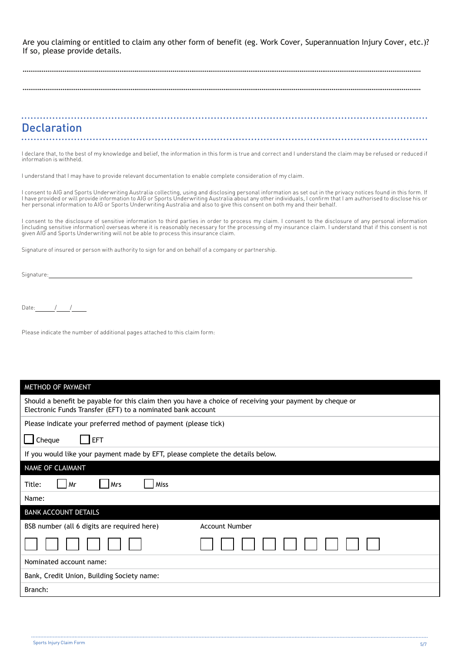Are you claiming or entitled to claim any other form of benefit (eg. Work Cover, Superannuation Injury Cover, etc.)? If so, please provide details.

## **Declaration**

I declare that, to the best of my knowledge and belief, the information in this form is true and correct and I understand the claim may be refused or reduced if information is withheld.

I understand that I may have to provide relevant documentation to enable complete consideration of my claim.

l consent to AIG and Sports Underwriting Australia collecting, using and disclosing personal information as set out in the privacy notices found in this form. If<br>I have provided or will provide information to AIG or Sports

I consent to the disclosure of sensitive information to third parties in order to process my claim. I consent to the disclosure of any personal information (including sensitive information) overseas where it is reasonably necessary for the processing of my insurance claim. I understand that if this consent is not<br>given AIG and Sports Underwriting will not be able to process t

Signature of insured or person with authority to sign for and on behalf of a company or partnership.

Signature:

Date:  $/$  /

Please indicate the number of additional pages attached to this claim form:

| METHOD OF PAYMENT                                                                                                                                                       |
|-------------------------------------------------------------------------------------------------------------------------------------------------------------------------|
| Should a benefit be payable for this claim then you have a choice of receiving your payment by cheque or<br>Electronic Funds Transfer (EFT) to a nominated bank account |
| Please indicate your preferred method of payment (please tick)                                                                                                          |
| Cheque<br><b>EFT</b>                                                                                                                                                    |
| If you would like your payment made by EFT, please complete the details below.                                                                                          |
| NAME OF CLAIMANT                                                                                                                                                        |
| Title:<br>Mr<br>  Mrs<br>Miss                                                                                                                                           |
| Name:                                                                                                                                                                   |
| <b>BANK ACCOUNT DETAILS</b>                                                                                                                                             |
| BSB number (all 6 digits are required here)<br><b>Account Number</b>                                                                                                    |
|                                                                                                                                                                         |
| Nominated account name:                                                                                                                                                 |
| Bank, Credit Union, Building Society name:                                                                                                                              |
| Branch:                                                                                                                                                                 |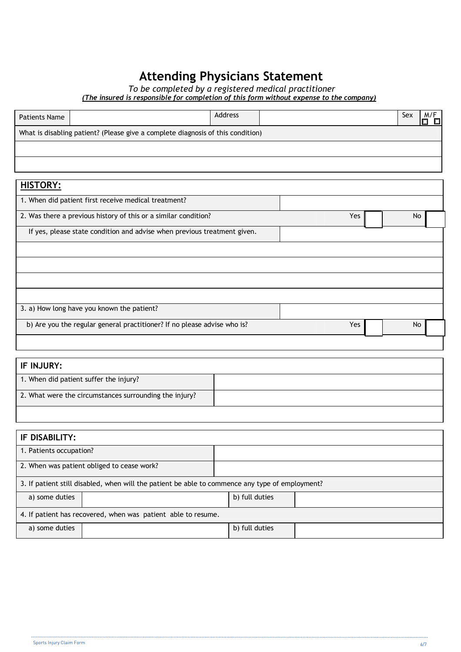# **Attending Physicians Statement**

*To be completed by a registered medical practitioner (The insured is responsible for completion of this form without expense to the company)*

| Patients Name |                                                                                 | <b>Address</b> | Sex |  |
|---------------|---------------------------------------------------------------------------------|----------------|-----|--|
|               | What is disabling patient? (Please give a complete diagnosis of this condition) |                |     |  |
|               |                                                                                 |                |     |  |
|               |                                                                                 |                |     |  |

| <b>HISTORY:</b>                                                          |     |    |
|--------------------------------------------------------------------------|-----|----|
| 1. When did patient first receive medical treatment?                     |     |    |
| 2. Was there a previous history of this or a similar condition?          | Yes | No |
| If yes, please state condition and advise when previous treatment given. |     |    |
|                                                                          |     |    |
|                                                                          |     |    |
|                                                                          |     |    |
|                                                                          |     |    |
| 3. a) How long have you known the patient?                               |     |    |
| b) Are you the regular general practitioner? If no please advise who is? | Yes | No |
|                                                                          |     |    |

| 1. When did patient suffer the injury?                 |  |
|--------------------------------------------------------|--|
| 2. What were the circumstances surrounding the injury? |  |

| IF DISABILITY:                                                                                  |                                            |                |  |  |  |
|-------------------------------------------------------------------------------------------------|--------------------------------------------|----------------|--|--|--|
| 1. Patients occupation?                                                                         |                                            |                |  |  |  |
|                                                                                                 | 2. When was patient obliged to cease work? |                |  |  |  |
| 3. If patient still disabled, when will the patient be able to commence any type of employment? |                                            |                |  |  |  |
| a) some duties                                                                                  |                                            | b) full duties |  |  |  |
| 4. If patient has recovered, when was patient able to resume.                                   |                                            |                |  |  |  |
| a) some duties                                                                                  |                                            | b) full duties |  |  |  |